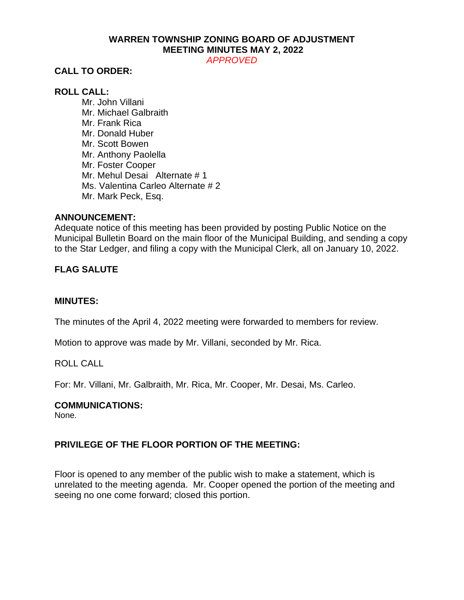# **WARREN TOWNSHIP ZONING BOARD OF ADJUSTMENT MEETING MINUTES MAY 2, 2022**

*APPROVED*

# **CALL TO ORDER:**

# **ROLL CALL:**

Mr. John Villani Mr. Michael Galbraith Mr. Frank Rica Mr. Donald Huber Mr. Scott Bowen Mr. Anthony Paolella Mr. Foster Cooper Mr. Mehul Desai Alternate # 1 Ms. Valentina Carleo Alternate # 2 Mr. Mark Peck, Esq.

### **ANNOUNCEMENT:**

Adequate notice of this meeting has been provided by posting Public Notice on the Municipal Bulletin Board on the main floor of the Municipal Building, and sending a copy to the Star Ledger, and filing a copy with the Municipal Clerk, all on January 10, 2022.

# **FLAG SALUTE**

#### **MINUTES:**

The minutes of the April 4, 2022 meeting were forwarded to members for review.

Motion to approve was made by Mr. Villani, seconded by Mr. Rica.

#### ROLL CALL

For: Mr. Villani, Mr. Galbraith, Mr. Rica, Mr. Cooper, Mr. Desai, Ms. Carleo.

#### **COMMUNICATIONS:**

None.

# **PRIVILEGE OF THE FLOOR PORTION OF THE MEETING:**

Floor is opened to any member of the public wish to make a statement, which is unrelated to the meeting agenda. Mr. Cooper opened the portion of the meeting and seeing no one come forward; closed this portion.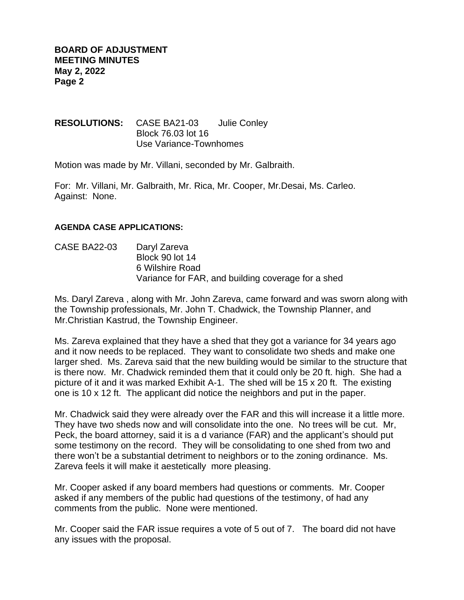**RESOLUTIONS:** CASE BA21-03 Julie Conley Block 76.03 lot 16 Use Variance-Townhomes

Motion was made by Mr. Villani, seconded by Mr. Galbraith.

For: Mr. Villani, Mr. Galbraith, Mr. Rica, Mr. Cooper, Mr.Desai, Ms. Carleo. Against: None.

### **AGENDA CASE APPLICATIONS:**

CASE BA22-03 Daryl Zareva Block 90 lot 14 6 Wilshire Road Variance for FAR, and building coverage for a shed

Ms. Daryl Zareva , along with Mr. John Zareva, came forward and was sworn along with the Township professionals, Mr. John T. Chadwick, the Township Planner, and Mr.Christian Kastrud, the Township Engineer.

Ms. Zareva explained that they have a shed that they got a variance for 34 years ago and it now needs to be replaced. They want to consolidate two sheds and make one larger shed. Ms. Zareva said that the new building would be similar to the structure that is there now. Mr. Chadwick reminded them that it could only be 20 ft. high. She had a picture of it and it was marked Exhibit A-1. The shed will be 15 x 20 ft. The existing one is 10 x 12 ft. The applicant did notice the neighbors and put in the paper.

Mr. Chadwick said they were already over the FAR and this will increase it a little more. They have two sheds now and will consolidate into the one. No trees will be cut. Mr, Peck, the board attorney, said it is a d variance (FAR) and the applicant's should put some testimony on the record. They will be consolidating to one shed from two and there won't be a substantial detriment to neighbors or to the zoning ordinance. Ms. Zareva feels it will make it aestetically more pleasing.

Mr. Cooper asked if any board members had questions or comments. Mr. Cooper asked if any members of the public had questions of the testimony, of had any comments from the public. None were mentioned.

Mr. Cooper said the FAR issue requires a vote of 5 out of 7. The board did not have any issues with the proposal.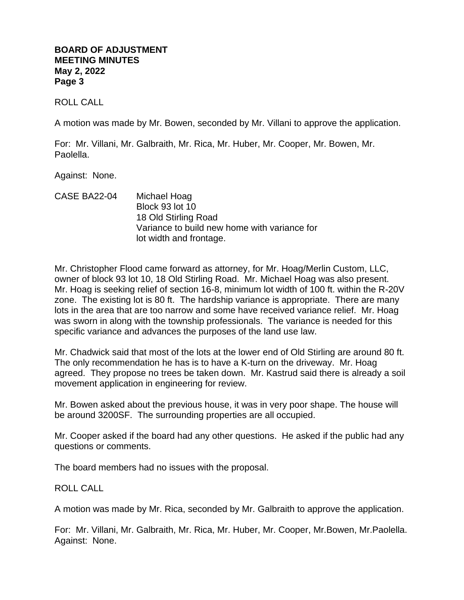### **BOARD OF ADJUSTMENT MEETING MINUTES May 2, 2022 Page 3**

ROLL CALL

A motion was made by Mr. Bowen, seconded by Mr. Villani to approve the application.

For: Mr. Villani, Mr. Galbraith, Mr. Rica, Mr. Huber, Mr. Cooper, Mr. Bowen, Mr. Paolella.

Against: None.

CASE BA22-04 Michael Hoag Block 93 lot 10 18 Old Stirling Road Variance to build new home with variance for lot width and frontage.

Mr. Christopher Flood came forward as attorney, for Mr. Hoag/Merlin Custom, LLC, owner of block 93 lot 10, 18 Old Stirling Road. Mr. Michael Hoag was also present. Mr. Hoag is seeking relief of section 16-8, minimum lot width of 100 ft. within the R-20V zone. The existing lot is 80 ft. The hardship variance is appropriate. There are many lots in the area that are too narrow and some have received variance relief. Mr. Hoag was sworn in along with the township professionals. The variance is needed for this specific variance and advances the purposes of the land use law.

Mr. Chadwick said that most of the lots at the lower end of Old Stirling are around 80 ft. The only recommendation he has is to have a K-turn on the driveway. Mr. Hoag agreed. They propose no trees be taken down. Mr. Kastrud said there is already a soil movement application in engineering for review.

Mr. Bowen asked about the previous house, it was in very poor shape. The house will be around 3200SF. The surrounding properties are all occupied.

Mr. Cooper asked if the board had any other questions. He asked if the public had any questions or comments.

The board members had no issues with the proposal.

ROLL CALL

A motion was made by Mr. Rica, seconded by Mr. Galbraith to approve the application.

For: Mr. Villani, Mr. Galbraith, Mr. Rica, Mr. Huber, Mr. Cooper, Mr.Bowen, Mr.Paolella. Against: None.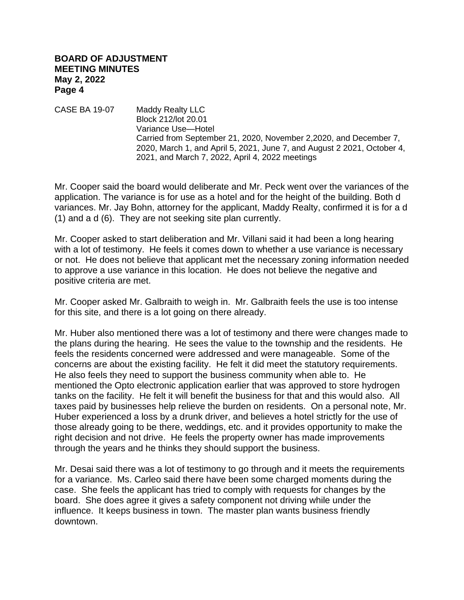### **BOARD OF ADJUSTMENT MEETING MINUTES May 2, 2022 Page 4**

CASE BA 19-07 Maddy Realty LLC Block 212/lot 20.01 Variance Use—Hotel Carried from September 21, 2020, November 2,2020, and December 7, 2020, March 1, and April 5, 2021, June 7, and August 2 2021, October 4, 2021, and March 7, 2022, April 4, 2022 meetings

Mr. Cooper said the board would deliberate and Mr. Peck went over the variances of the application. The variance is for use as a hotel and for the height of the building. Both d variances. Mr. Jay Bohn, attorney for the applicant, Maddy Realty, confirmed it is for a d (1) and a d (6). They are not seeking site plan currently.

Mr. Cooper asked to start deliberation and Mr. Villani said it had been a long hearing with a lot of testimony. He feels it comes down to whether a use variance is necessary or not. He does not believe that applicant met the necessary zoning information needed to approve a use variance in this location. He does not believe the negative and positive criteria are met.

Mr. Cooper asked Mr. Galbraith to weigh in. Mr. Galbraith feels the use is too intense for this site, and there is a lot going on there already.

Mr. Huber also mentioned there was a lot of testimony and there were changes made to the plans during the hearing. He sees the value to the township and the residents. He feels the residents concerned were addressed and were manageable. Some of the concerns are about the existing facility. He felt it did meet the statutory requirements. He also feels they need to support the business community when able to. He mentioned the Opto electronic application earlier that was approved to store hydrogen tanks on the facility. He felt it will benefit the business for that and this would also. All taxes paid by businesses help relieve the burden on residents. On a personal note, Mr. Huber experienced a loss by a drunk driver, and believes a hotel strictly for the use of those already going to be there, weddings, etc. and it provides opportunity to make the right decision and not drive. He feels the property owner has made improvements through the years and he thinks they should support the business.

Mr. Desai said there was a lot of testimony to go through and it meets the requirements for a variance. Ms. Carleo said there have been some charged moments during the case. She feels the applicant has tried to comply with requests for changes by the board. She does agree it gives a safety component not driving while under the influence. It keeps business in town. The master plan wants business friendly downtown.